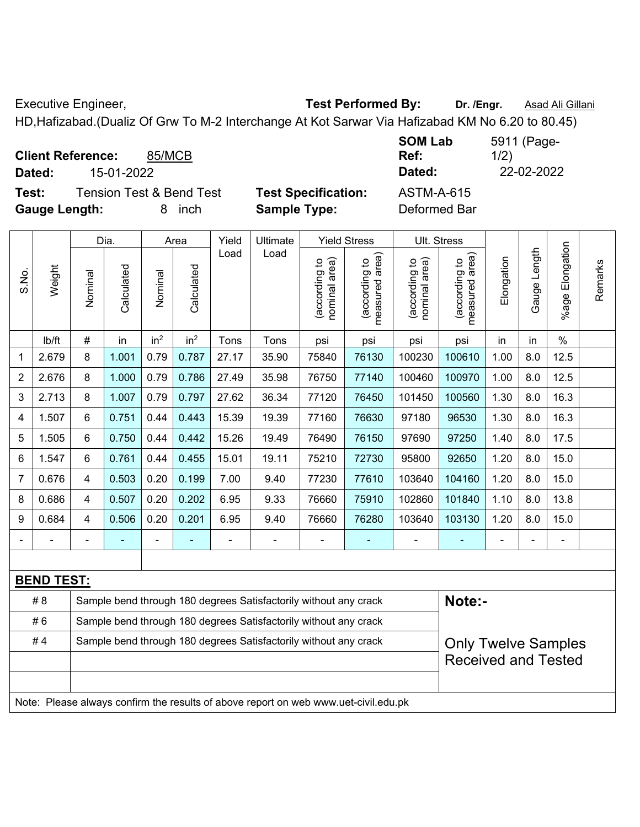Executive Engineer, **Test Performed By:** Dr. /Engr. **Asad Ali Gillani** CHC Association CHC Association CHC Association

HD,Hafizabad.(Dualiz Of Grw To M-2 Interchange At Kot Sarwar Via Hafizabad KM No 6.20 to 80.45)

**Client Reference:** 85/MCB **Dated:** 15-01-2022 **Dated:** 22-02-2022

**Test:** Tension Test & Bend Test **Test Specification:** ASTM-A-615 **Gauge Length:** 8 inch **Sample Type:** Deformed Bar

**SOM Lab Ref:**  5911 (Page-1/2)

|                |                   |                                                                                                | Dia.       |                 | Area            | Yield | Ultimate                                                                            |                                | <b>Yield Stress</b>             | Ult. Stress                    |                                 |            |              |                       |         |
|----------------|-------------------|------------------------------------------------------------------------------------------------|------------|-----------------|-----------------|-------|-------------------------------------------------------------------------------------|--------------------------------|---------------------------------|--------------------------------|---------------------------------|------------|--------------|-----------------------|---------|
| S.No.          | Weight            | Nominal                                                                                        | Calculated | Nominal         | Calculated      | Load  | Load                                                                                | nominal area)<br>(according to | (according to<br>measured area) | (according to<br>nominal area) | measured area)<br>(according to | Elongation | Gauge Length | Elongation<br>$%$ age | Remarks |
|                | lb/ft             | $\#$                                                                                           | in         | in <sup>2</sup> | in <sup>2</sup> | Tons  | Tons                                                                                | psi                            | psi                             | psi                            | psi                             | in         | in           | $\%$                  |         |
| 1              | 2.679             | 8                                                                                              | 1.001      | 0.79            | 0.787           | 27.17 | 35.90                                                                               | 75840                          | 76130                           | 100230                         | 100610                          | 1.00       | 8.0          | 12.5                  |         |
| $\overline{2}$ | 2.676             | 8                                                                                              | 1.000      | 0.79            | 0.786           | 27.49 | 35.98                                                                               | 76750                          | 77140                           | 100460                         | 100970                          | 1.00       | 8.0          | 12.5                  |         |
| 3              | 2.713             | $\bf 8$                                                                                        | 1.007      | 0.79            | 0.797           | 27.62 | 36.34                                                                               | 77120                          | 76450                           | 101450                         | 100560                          | 1.30       | 8.0          | 16.3                  |         |
| 4              | 1.507             | 6                                                                                              | 0.751      | 0.44            | 0.443           | 15.39 | 19.39                                                                               | 77160                          | 76630                           | 97180                          | 96530                           | 1.30       | 8.0          | 16.3                  |         |
| 5              | 1.505             | 6                                                                                              | 0.750      | 0.44            | 0.442           | 15.26 | 19.49                                                                               | 76490                          | 76150                           | 97690                          | 97250                           | 1.40       | 8.0          | 17.5                  |         |
| 6              | 1.547             | 6                                                                                              | 0.761      | 0.44            | 0.455           | 15.01 | 19.11                                                                               | 75210                          | 72730                           | 95800                          | 92650                           | 1.20       | 8.0          | 15.0                  |         |
| 7              | 0.676             | 4                                                                                              | 0.503      | 0.20            | 0.199           | 7.00  | 9.40                                                                                | 77230                          | 77610                           | 103640                         | 104160                          | 1.20       | 8.0          | 15.0                  |         |
| 8              | 0.686             | 4                                                                                              | 0.507      | 0.20            | 0.202           | 6.95  | 9.33                                                                                | 76660                          | 75910                           | 102860                         | 101840                          | 1.10       | 8.0          | 13.8                  |         |
| 9              | 0.684             | $\overline{4}$                                                                                 | 0.506      | 0.20            | 0.201           | 6.95  | 9.40                                                                                | 76660                          | 76280                           | 103640                         | 103130                          | 1.20       | 8.0          | 15.0                  |         |
|                |                   |                                                                                                |            | ÷               |                 |       |                                                                                     |                                | ä,                              |                                | ä,                              |            |              | ä,                    |         |
|                |                   |                                                                                                |            |                 |                 |       |                                                                                     |                                |                                 |                                |                                 |            |              |                       |         |
|                | <b>BEND TEST:</b> |                                                                                                |            |                 |                 |       |                                                                                     |                                |                                 |                                |                                 |            |              |                       |         |
|                | #8                |                                                                                                |            |                 |                 |       | Sample bend through 180 degrees Satisfactorily without any crack                    |                                |                                 |                                | Note:-                          |            |              |                       |         |
|                | #6                |                                                                                                |            |                 |                 |       | Sample bend through 180 degrees Satisfactorily without any crack                    |                                |                                 |                                |                                 |            |              |                       |         |
|                | #4                | Sample bend through 180 degrees Satisfactorily without any crack<br><b>Only Twelve Samples</b> |            |                 |                 |       |                                                                                     |                                |                                 |                                |                                 |            |              |                       |         |
|                |                   |                                                                                                |            |                 |                 |       |                                                                                     |                                |                                 |                                | <b>Received and Tested</b>      |            |              |                       |         |
|                |                   |                                                                                                |            |                 |                 |       |                                                                                     |                                |                                 |                                |                                 |            |              |                       |         |
|                |                   |                                                                                                |            |                 |                 |       | Note: Please always confirm the results of above report on web www.uet-civil.edu.pk |                                |                                 |                                |                                 |            |              |                       |         |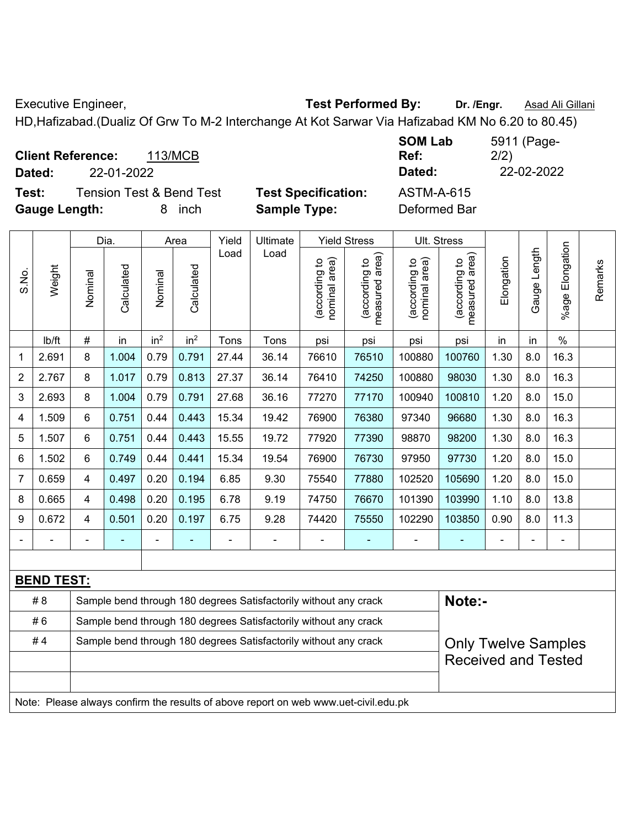Executive Engineer, **Test Performed By:** Dr. /Engr. **Asad Ali Gillani** CHC Association CHC Association CHC Association

HD,Hafizabad.(Dualiz Of Grw To M-2 Interchange At Kot Sarwar Via Hafizabad KM No 6.20 to 80.45)

**Client Reference:** 113/MCB **Dated:** 22-01-2022 **Dated:** 22-02-2022 **Test:** Tension Test & Bend Test **Test Specification:** ASTM-A-615

**Gauge Length:** 8 inch **Sample Type:** Deformed Bar

**SOM Lab Ref:**  5911 (Page-2/2)

|                |                                                                                     |                                                                                                | Dia.       |                 | Area            | Yield | Ultimate                                                         |                                | Ult. Stress                     |                                |                                 |            |              |                       |         |
|----------------|-------------------------------------------------------------------------------------|------------------------------------------------------------------------------------------------|------------|-----------------|-----------------|-------|------------------------------------------------------------------|--------------------------------|---------------------------------|--------------------------------|---------------------------------|------------|--------------|-----------------------|---------|
| S.No.          | Weight                                                                              | Nominal                                                                                        | Calculated | Nominal         | Calculated      | Load  | Load                                                             | nominal area)<br>(according to | (according to<br>measured area) | nominal area)<br>(according to | (according to<br>measured area) | Elongation | Gauge Length | Elongation<br>$%$ age | Remarks |
|                | lb/ft                                                                               | $\#$                                                                                           | in         | in <sup>2</sup> | in <sup>2</sup> | Tons  | Tons                                                             | psi                            | psi                             | psi                            | psi                             | in         | in           | $\%$                  |         |
| 1              | 2.691                                                                               | 8                                                                                              | 1.004      | 0.79            | 0.791           | 27.44 | 36.14                                                            | 76610                          | 76510                           | 100880                         | 100760                          | 1.30       | 8.0          | 16.3                  |         |
| $\overline{2}$ | 2.767                                                                               | 8                                                                                              | 1.017      | 0.79            | 0.813           | 27.37 | 36.14                                                            | 76410                          | 74250                           | 100880                         | 98030                           | 1.30       | 8.0          | 16.3                  |         |
| 3              | 2.693                                                                               | 8                                                                                              | 1.004      | 0.79            | 0.791           | 27.68 | 36.16                                                            | 77270                          | 77170                           | 100940                         | 100810                          | 1.20       | 8.0          | 15.0                  |         |
| 4              | 1.509                                                                               | 6                                                                                              | 0.751      | 0.44            | 0.443           | 15.34 | 19.42                                                            | 76900                          | 76380                           | 97340                          | 96680                           | 1.30       | 8.0          | 16.3                  |         |
| 5              | 1.507                                                                               | 6                                                                                              | 0.751      | 0.44            | 0.443           | 15.55 | 19.72                                                            | 77920                          | 77390                           | 98870                          | 98200                           | 1.30       | 8.0          | 16.3                  |         |
| 6              | 1.502                                                                               | 6                                                                                              | 0.749      | 0.44            | 0.441           | 15.34 | 19.54                                                            | 76900                          | 76730                           | 97950                          | 97730                           | 1.20       | 8.0          | 15.0                  |         |
| 7              | 0.659                                                                               | 4                                                                                              | 0.497      | 0.20            | 0.194           | 6.85  | 9.30                                                             | 75540                          | 77880                           | 102520                         | 105690                          | 1.20       | 8.0          | 15.0                  |         |
| 8              | 0.665                                                                               | 4                                                                                              | 0.498      | 0.20            | 0.195           | 6.78  | 9.19                                                             | 74750                          | 76670                           | 101390                         | 103990                          | 1.10       | 8.0          | 13.8                  |         |
| 9              | 0.672                                                                               | $\overline{\mathbf{4}}$                                                                        | 0.501      | 0.20            | 0.197           | 6.75  | 9.28                                                             | 74420                          | 75550                           | 102290                         | 103850                          | 0.90       | 8.0          | 11.3                  |         |
|                |                                                                                     |                                                                                                |            |                 |                 |       |                                                                  |                                |                                 |                                | ä,                              |            |              |                       |         |
|                |                                                                                     |                                                                                                |            |                 |                 |       |                                                                  |                                |                                 |                                |                                 |            |              |                       |         |
|                | <b>BEND TEST:</b>                                                                   |                                                                                                |            |                 |                 |       |                                                                  |                                |                                 |                                |                                 |            |              |                       |         |
|                | #8                                                                                  |                                                                                                |            |                 |                 |       | Sample bend through 180 degrees Satisfactorily without any crack |                                |                                 |                                | Note:-                          |            |              |                       |         |
|                | #6                                                                                  |                                                                                                |            |                 |                 |       | Sample bend through 180 degrees Satisfactorily without any crack |                                |                                 |                                |                                 |            |              |                       |         |
|                | #4                                                                                  | Sample bend through 180 degrees Satisfactorily without any crack<br><b>Only Twelve Samples</b> |            |                 |                 |       |                                                                  |                                |                                 |                                |                                 |            |              |                       |         |
|                |                                                                                     |                                                                                                |            |                 |                 |       |                                                                  |                                |                                 |                                | <b>Received and Tested</b>      |            |              |                       |         |
|                |                                                                                     |                                                                                                |            |                 |                 |       |                                                                  |                                |                                 |                                |                                 |            |              |                       |         |
|                | Note: Please always confirm the results of above report on web www.uet-civil.edu.pk |                                                                                                |            |                 |                 |       |                                                                  |                                |                                 |                                |                                 |            |              |                       |         |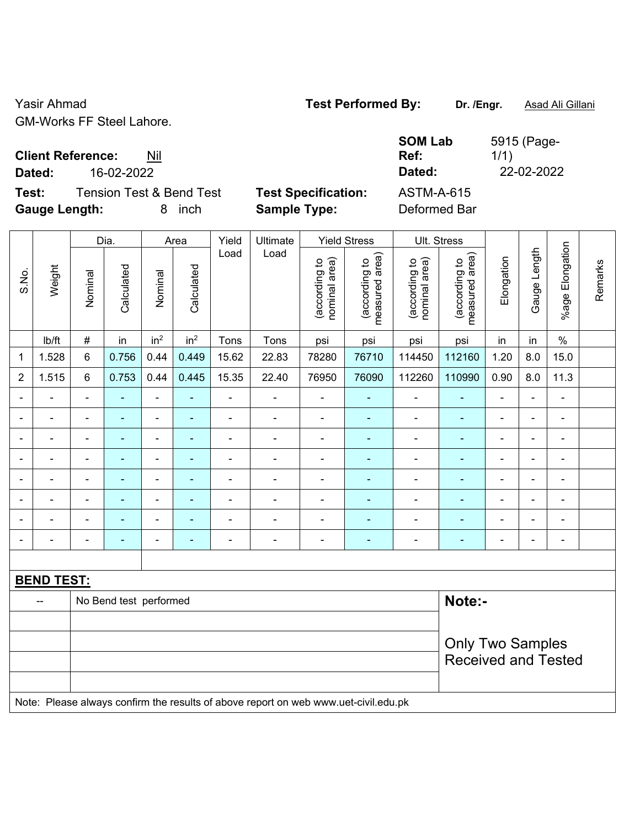Yasir Ahmad **Test Performed By:** Dr. /Engr. **Asad Ali Gillani** GM-Works FF Steel Lahore.

**Client Reference:** Nil

**Dated:** 26-02-2022 **Dated:** 22-02-2022

**Test:** Tension Test & Bend Test **Test Specification:** ASTM-A-615 **Gauge Length:** 8 inch **Sample Type:** Deformed Bar

| <b>SOM Lab</b> | 5915 (Page- |
|----------------|-------------|
| Ref:           | 1/1)        |
| Dated:         | 22-02-2022  |

|                |                   |                | Dia.                   |                          | Area                     | Yield                    | Ultimate                                                                            |                                | <b>Yield Stress</b>             |                                | Ult. Stress                     |                |                |                           |         |
|----------------|-------------------|----------------|------------------------|--------------------------|--------------------------|--------------------------|-------------------------------------------------------------------------------------|--------------------------------|---------------------------------|--------------------------------|---------------------------------|----------------|----------------|---------------------------|---------|
| S.No.          | Weight            | Nominal        | Calculated             | Nominal                  | Calculated               | Load                     | Load                                                                                | nominal area)<br>(according to | measured area)<br>(according to | (according to<br>nominal area) | measured area)<br>(according to | Elongation     | Gauge Length   | Elongation<br>$%$ age $ $ | Remarks |
|                | lb/ft             | $\#$           | in                     | in <sup>2</sup>          | in <sup>2</sup>          | Tons                     | Tons                                                                                | psi                            | psi                             | psi                            | psi                             | in             | in             | $\%$                      |         |
| $\mathbf 1$    | 1.528             | 6              | 0.756                  | 0.44                     | 0.449                    | 15.62                    | 22.83                                                                               | 78280                          | 76710                           | 114450                         | 112160                          | 1.20           | 8.0            | 15.0                      |         |
| $\overline{2}$ | 1.515             | 6              | 0.753                  | 0.44                     | 0.445                    | 15.35                    | 22.40                                                                               | 76950                          | 76090                           | 112260                         | 110990                          | 0.90           | 8.0            | 11.3                      |         |
| $\blacksquare$ | ä,                | $\blacksquare$ | $\blacksquare$         | $\blacksquare$           | $\blacksquare$           | $\overline{\phantom{a}}$ | $\blacksquare$                                                                      | $\blacksquare$                 | ÷                               | $\blacksquare$                 | ÷                               | $\blacksquare$ | $\blacksquare$ | $\frac{1}{2}$             |         |
| $\blacksquare$ | $\blacksquare$    | $\blacksquare$ | $\frac{1}{2}$          | $\blacksquare$           | $\blacksquare$           | $\frac{1}{2}$            | $\blacksquare$                                                                      | $\frac{1}{2}$                  | $\blacksquare$                  | $\blacksquare$                 | ٠                               | $\frac{1}{2}$  | $\blacksquare$ | $\blacksquare$            |         |
| $\blacksquare$ | ÷                 | $\blacksquare$ | ÷,                     | $\blacksquare$           | $\blacksquare$           | ä,                       | $\blacksquare$                                                                      | $\blacksquare$                 | ÷                               | $\blacksquare$                 | ÷                               | $\blacksquare$ | $\blacksquare$ | $\blacksquare$            |         |
|                | $\blacksquare$    | ä,             | ÷,                     | $\blacksquare$           | $\overline{\phantom{a}}$ | ä,                       | $\blacksquare$                                                                      | ä,                             | ÷                               | $\blacksquare$                 | ä,                              | $\blacksquare$ | $\blacksquare$ | $\blacksquare$            |         |
|                |                   | $\blacksquare$ | $\blacksquare$         | $\overline{\phantom{a}}$ | $\overline{\phantom{a}}$ | ÷                        | $\overline{\phantom{a}}$                                                            | $\overline{\phantom{a}}$       | ۰                               | ä,                             | ÷,                              | ÷              |                | L,                        |         |
|                |                   |                | $\blacksquare$         | $\overline{\phantom{0}}$ |                          | $\blacksquare$           |                                                                                     | $\blacksquare$                 | ۰                               |                                | ۰                               |                |                | $\blacksquare$            |         |
|                |                   |                |                        | ۰                        |                          |                          | $\blacksquare$                                                                      | $\blacksquare$                 | ÷                               | $\blacksquare$                 | ۳                               |                |                | L,                        |         |
| $\blacksquare$ |                   | $\overline{a}$ | ÷                      | $\blacksquare$           | $\overline{\phantom{a}}$ | ÷                        | $\overline{\phantom{a}}$                                                            | $\blacksquare$                 | ۰                               | $\blacksquare$                 | -                               | $\blacksquare$ | $\overline{a}$ | $\blacksquare$            |         |
|                |                   |                |                        |                          |                          |                          |                                                                                     |                                |                                 |                                |                                 |                |                |                           |         |
|                | <b>BEND TEST:</b> |                |                        |                          |                          |                          |                                                                                     |                                |                                 |                                |                                 |                |                |                           |         |
|                | $-$               |                | No Bend test performed |                          |                          |                          |                                                                                     |                                |                                 |                                | Note:-                          |                |                |                           |         |
|                |                   |                |                        |                          |                          |                          |                                                                                     |                                |                                 |                                |                                 |                |                |                           |         |
|                |                   |                |                        |                          |                          |                          |                                                                                     |                                |                                 |                                | <b>Only Two Samples</b>         |                |                |                           |         |
|                |                   |                |                        |                          |                          |                          |                                                                                     |                                |                                 |                                | <b>Received and Tested</b>      |                |                |                           |         |
|                |                   |                |                        |                          |                          |                          |                                                                                     |                                |                                 |                                |                                 |                |                |                           |         |
|                |                   |                |                        |                          |                          |                          | Note: Please always confirm the results of above report on web www.uet-civil.edu.pk |                                |                                 |                                |                                 |                |                |                           |         |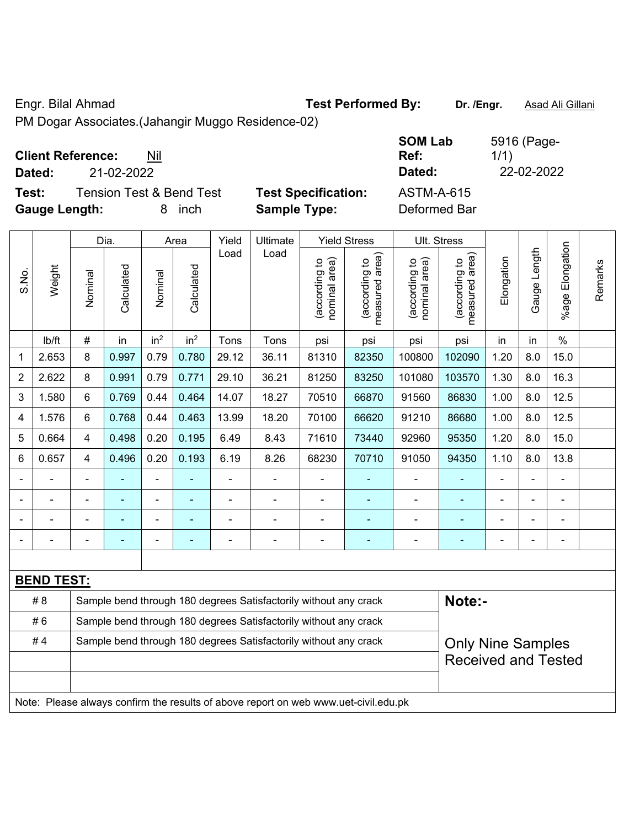### Engr. Bilal Ahmad **Test Performed By: Dr. /Engr.** Asad Ali Gillani

PM Dogar Associates.(Jahangir Muggo Residence-02)

## **Client Reference:** Nil

**Dated:** 21-02-2022 **Dated:** 22-02-2022

**Test:** Tension Test & Bend Test **Test Specification: Gauge Length:** 8 inch **Sample Type:** Deformed Bar

| <b>SOM Lab</b><br>Ref: | 5916 (Page-<br>1/1) |
|------------------------|---------------------|
| Dated:                 | 22-02-2022          |
| <b>ASTM-A-615</b>      |                     |

|                |                   |                                                                  | Dia.           |                 | Area                     | Yield | Ultimate                                                                            |                                | <b>Yield Stress</b>             |                                | Ult. Stress                     |                |                |                       |         |
|----------------|-------------------|------------------------------------------------------------------|----------------|-----------------|--------------------------|-------|-------------------------------------------------------------------------------------|--------------------------------|---------------------------------|--------------------------------|---------------------------------|----------------|----------------|-----------------------|---------|
| S.No.          | Weight            | Nominal                                                          | Calculated     | Nominal         | Calculated               | Load  | Load                                                                                | nominal area)<br>(according to | (according to<br>measured area) | (according to<br>nominal area) | (according to<br>measured area) | Elongation     | Gauge Length   | Elongation<br>$%$ age | Remarks |
|                | Ib/ft             | $\#$                                                             | in             | in <sup>2</sup> | in <sup>2</sup>          | Tons  | Tons                                                                                | psi                            | psi                             | psi                            | psi                             | in             | in             | $\%$                  |         |
| 1              | 2.653             | 8                                                                | 0.997          | 0.79            | 0.780                    | 29.12 | 36.11                                                                               | 81310                          | 82350                           | 100800                         | 102090                          | 1.20           | 8.0            | 15.0                  |         |
| $\overline{2}$ | 2.622             | 8                                                                | 0.991          | 0.79            | 0.771                    | 29.10 | 36.21                                                                               | 81250                          | 83250                           | 101080                         | 103570                          | 1.30           | 8.0            | 16.3                  |         |
| 3              | 1.580             | 6                                                                | 0.769          | 0.44            | 0.464                    | 14.07 | 18.27                                                                               | 70510                          | 66870                           | 91560                          | 86830                           | 1.00           | 8.0            | 12.5                  |         |
| 4              | 1.576             | $6\phantom{1}$                                                   | 0.768          | 0.44            | 0.463                    | 13.99 | 18.20                                                                               | 70100                          | 66620                           | 91210                          | 86680                           | 1.00           | 8.0            | 12.5                  |         |
| 5              | 0.664             | $\overline{\mathbf{4}}$                                          | 0.498          | 0.20            | 0.195                    | 6.49  | 8.43                                                                                | 71610                          | 73440                           | 92960                          | 95350                           | 1.20           | 8.0            | 15.0                  |         |
| 6              | 0.657             | $\overline{\mathbf{4}}$                                          | 0.496          | 0.20            | 0.193                    | 6.19  | 8.26                                                                                | 68230                          | 70710                           | 91050                          | 94350                           | 1.10           | 8.0            | 13.8                  |         |
|                |                   |                                                                  |                | ÷               |                          | ÷.    | ä,                                                                                  |                                |                                 |                                |                                 |                |                | ä,                    |         |
|                |                   |                                                                  | $\blacksquare$ | $\blacksquare$  |                          | ÷.    | ä,                                                                                  | $\blacksquare$                 | $\overline{\phantom{0}}$        | $\blacksquare$                 | ٠                               | $\blacksquare$ |                | $\blacksquare$        |         |
|                |                   |                                                                  | ۰              | ÷               |                          | Ē,    | ÷                                                                                   | $\blacksquare$                 | ÷                               | $\blacksquare$                 | ۰                               | $\blacksquare$ |                | $\overline{a}$        |         |
|                |                   |                                                                  | $\blacksquare$ | $\blacksquare$  | $\overline{\phantom{a}}$ | ÷     | ÷,                                                                                  | $\blacksquare$                 | $\blacksquare$                  | $\blacksquare$                 | ٠                               | $\blacksquare$ | $\blacksquare$ | $\blacksquare$        |         |
|                |                   |                                                                  |                |                 |                          |       |                                                                                     |                                |                                 |                                |                                 |                |                |                       |         |
|                | <b>BEND TEST:</b> |                                                                  |                |                 |                          |       |                                                                                     |                                |                                 |                                |                                 |                |                |                       |         |
|                | #8                |                                                                  |                |                 |                          |       | Sample bend through 180 degrees Satisfactorily without any crack                    |                                |                                 |                                | Note:-                          |                |                |                       |         |
|                | #6                | Sample bend through 180 degrees Satisfactorily without any crack |                |                 |                          |       |                                                                                     |                                |                                 |                                |                                 |                |                |                       |         |
|                | #4                |                                                                  |                |                 |                          |       | Sample bend through 180 degrees Satisfactorily without any crack                    |                                |                                 |                                | <b>Only Nine Samples</b>        |                |                |                       |         |
|                |                   |                                                                  |                |                 |                          |       |                                                                                     |                                |                                 |                                | <b>Received and Tested</b>      |                |                |                       |         |
|                |                   |                                                                  |                |                 |                          |       |                                                                                     |                                |                                 |                                |                                 |                |                |                       |         |
|                |                   |                                                                  |                |                 |                          |       | Note: Please always confirm the results of above report on web www.uet-civil.edu.pk |                                |                                 |                                |                                 |                |                |                       |         |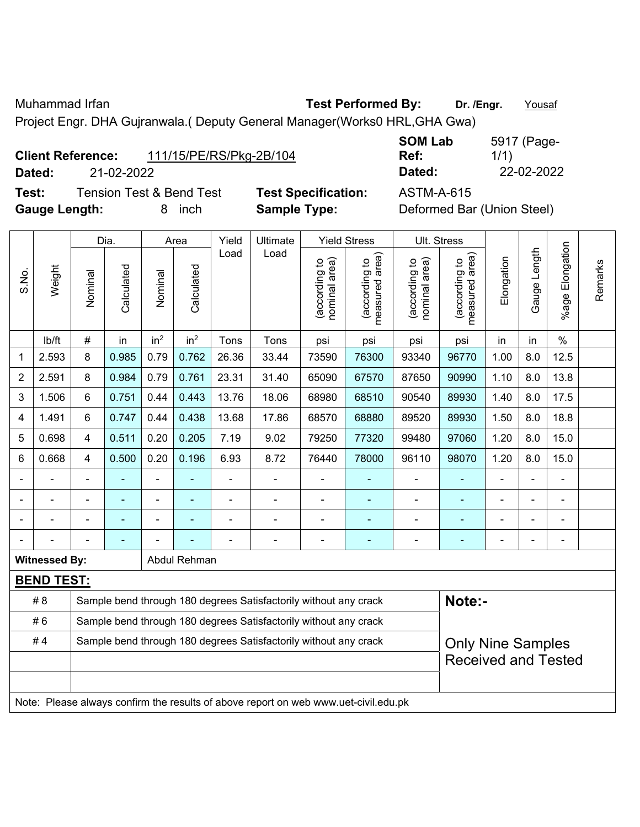Muhammad Irfan **Test Performed By: Dr. /Engr.** Yousaf

Project Engr. DHA Gujranwala.( Deputy General Manager(Works0 HRL,GHA Gwa)

| <b>Client Reference:</b> |            | 111/15/PE/RS/Pkg-2B/104 |
|--------------------------|------------|-------------------------|
| Dated:                   | 21-02-2022 |                         |

**Test:** Tension Test & Bend Test **Test Specification:** ASTM-A-615 **Gauge Length:** 8 inch **Sample Type:** Deformed Bar (Union Steel)

**SOM Lab Ref:**  5917 (Page-1/1) **Dated:** 21-02-2022 **Dated:** 22-02-2022

|                |                      |         | Dia.                     |                 | Area            | Yield          | Ultimate                                                                            |                                | <b>Yield Stress</b>                         |                                | <b>Ult. Stress</b>              |                |                          |                       |         |
|----------------|----------------------|---------|--------------------------|-----------------|-----------------|----------------|-------------------------------------------------------------------------------------|--------------------------------|---------------------------------------------|--------------------------------|---------------------------------|----------------|--------------------------|-----------------------|---------|
| S.No.          | Weight               | Nominal | Calculated               | Nominal         | Calculated      | Load           | Load                                                                                | nominal area)<br>(according to | (according to<br>measured area)<br>measured | nominal area)<br>(according to | (according to<br>measured area) | Elongation     | Gauge Length             | Elongation<br>$%$ age | Remarks |
|                | lb/ft                | $\#$    | in                       | in <sup>2</sup> | in <sup>2</sup> | Tons           | Tons                                                                                | psi                            | psi                                         | psi                            | psi                             | in             | in                       | $\%$                  |         |
| 1              | 2.593                | 8       | 0.985                    | 0.79            | 0.762           | 26.36          | 33.44                                                                               | 73590                          | 76300                                       | 93340                          | 96770                           | 1.00           | 8.0                      | 12.5                  |         |
| $\overline{2}$ | 2.591                | 8       | 0.984                    | 0.79            | 0.761           | 23.31          | 31.40                                                                               | 65090                          | 67570                                       | 87650                          | 90990                           | 1.10           | 8.0                      | 13.8                  |         |
| 3              | 1.506                | 6       | 0.751                    | 0.44            | 0.443           | 13.76          | 18.06                                                                               | 68980                          | 68510                                       | 90540                          | 89930                           | 1.40           | 8.0                      | 17.5                  |         |
| $\overline{4}$ | 1.491                | 6       | 0.747                    | 0.44            | 0.438           | 13.68          | 17.86                                                                               | 68570                          | 68880                                       | 89520                          | 89930                           | 1.50           | 8.0                      | 18.8                  |         |
| 5              | 0.698                | 4       | 0.511                    | 0.20            | 0.205           | 7.19           | 9.02                                                                                | 79250                          | 77320                                       | 99480                          | 97060                           | 1.20           | 8.0                      | 15.0                  |         |
| 6              | 0.668                | 4       | 0.500                    | 0.20            | 0.196           | 6.93           | 8.72                                                                                | 76440                          | 78000                                       | 96110                          | 98070                           | 1.20           | 8.0                      | 15.0                  |         |
|                |                      |         | $\blacksquare$           | ÷               |                 | $\blacksquare$ | $\blacksquare$                                                                      |                                | $\blacksquare$                              | ۰                              |                                 |                |                          | $\blacksquare$        |         |
|                |                      |         |                          | ä,              |                 | $\blacksquare$ | $\blacksquare$                                                                      |                                |                                             | $\blacksquare$                 |                                 |                |                          |                       |         |
|                | $\blacksquare$       |         | ÷                        |                 |                 |                | ÷,                                                                                  | $\blacksquare$                 | ÷                                           | ۰                              | ä,                              | $\blacksquare$ |                          | $\blacksquare$        |         |
|                |                      |         | $\overline{\phantom{0}}$ |                 |                 | $\blacksquare$ | $\blacksquare$                                                                      | $\blacksquare$                 | $\blacksquare$                              | ۰                              | ٠                               | $\blacksquare$ | $\overline{\phantom{a}}$ | $\blacksquare$        |         |
|                | <b>Witnessed By:</b> |         |                          |                 | Abdul Rehman    |                |                                                                                     |                                |                                             |                                |                                 |                |                          |                       |         |
|                | <b>BEND TEST:</b>    |         |                          |                 |                 |                |                                                                                     |                                |                                             |                                |                                 |                |                          |                       |         |
|                | # 8                  |         |                          |                 |                 |                | Sample bend through 180 degrees Satisfactorily without any crack                    |                                |                                             |                                | Note:-                          |                |                          |                       |         |
|                | #6                   |         |                          |                 |                 |                | Sample bend through 180 degrees Satisfactorily without any crack                    |                                |                                             |                                |                                 |                |                          |                       |         |
|                | #4                   |         |                          |                 |                 |                | Sample bend through 180 degrees Satisfactorily without any crack                    |                                |                                             |                                | <b>Only Nine Samples</b>        |                |                          |                       |         |
|                |                      |         |                          |                 |                 |                |                                                                                     |                                |                                             |                                | <b>Received and Tested</b>      |                |                          |                       |         |
|                |                      |         |                          |                 |                 |                |                                                                                     |                                |                                             |                                |                                 |                |                          |                       |         |
|                |                      |         |                          |                 |                 |                | Note: Please always confirm the results of above report on web www.uet-civil.edu.pk |                                |                                             |                                |                                 |                |                          |                       |         |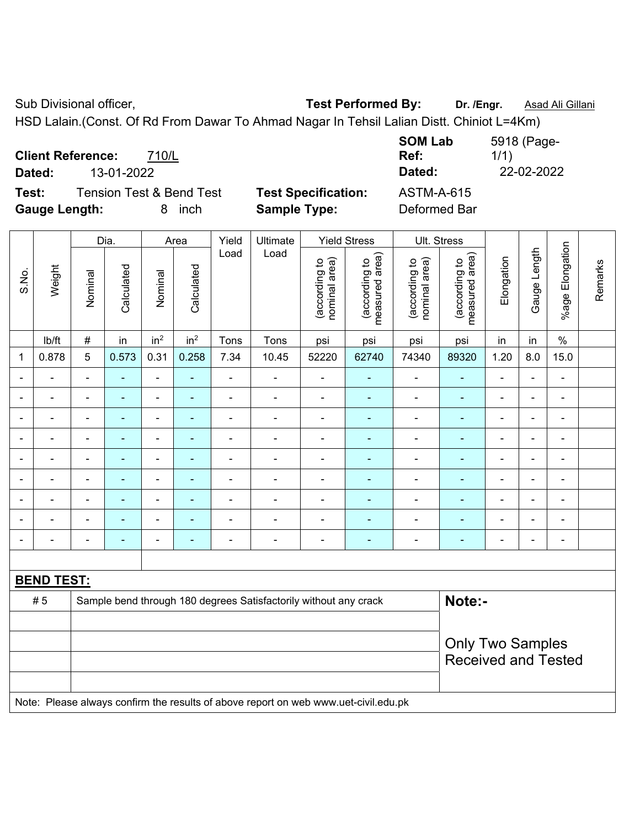Sub Divisional officer, **Test Performed By:** Dr. /Engr. **Asad Ali Gillani** Associated By: Dr. /Engr. **Asad Ali Gillani** 

HSD Lalain.(Const. Of Rd From Dawar To Ahmad Nagar In Tehsil Lalian Distt. Chiniot L=4Km)

|                          |                                     |                   |                            | <b>SOM Lab</b>    | 5918 (Page- |
|--------------------------|-------------------------------------|-------------------|----------------------------|-------------------|-------------|
| <b>Client Reference:</b> |                                     | 710/L             |                            | Ref:              | 1/1)        |
| Dated:                   | 13-01-2022                          |                   |                            | Dated:            | 22-02-2022  |
| Test:                    | <b>Tension Test &amp; Bend Test</b> |                   | <b>Test Specification:</b> | <b>ASTM-A-615</b> |             |
| <b>Gauge Length:</b>     |                                     | <i>inch</i><br>8. | <b>Sample Type:</b>        | Deformed Bar      |             |

|                |                   |                | Dia.           |                          | Area                     | Yield          | Ultimate                                                                            |                                | <b>Yield Stress</b>             | Ult. Stress                    |                                 |                |                |                          |         |
|----------------|-------------------|----------------|----------------|--------------------------|--------------------------|----------------|-------------------------------------------------------------------------------------|--------------------------------|---------------------------------|--------------------------------|---------------------------------|----------------|----------------|--------------------------|---------|
| S.No.          | Weight            | Nominal        | Calculated     | Nominal                  | Calculated               | Load           | Load                                                                                | nominal area)<br>(according to | (according to<br>measured area) | nominal area)<br>(according to | measured area)<br>(according to | Elongation     | Gauge Length   | %age Elongation          | Remarks |
|                | lb/ft             | $\#$           | in             | in <sup>2</sup>          | in <sup>2</sup>          | Tons           | Tons                                                                                | psi                            | psi                             | psi                            | psi                             | in             | in             | $\%$                     |         |
| 1              | 0.878             | 5              | 0.573          | 0.31                     | 0.258                    | 7.34           | 10.45                                                                               | 52220                          | 62740                           | 74340                          | 89320                           | 1.20           | 8.0            | 15.0                     |         |
| $\blacksquare$ |                   | $\overline{a}$ | ä,             | ۰                        | ä,                       | $\blacksquare$ | $\blacksquare$                                                                      | $\blacksquare$                 | $\blacksquare$                  | $\blacksquare$                 | ٠                               | $\overline{a}$ | ä,             | $\blacksquare$           |         |
| $\blacksquare$ | $\blacksquare$    | Ē,             | ÷,             | $\blacksquare$           | $\blacksquare$           | $\blacksquare$ | $\blacksquare$                                                                      | $\blacksquare$                 | $\blacksquare$                  | $\overline{\phantom{a}}$       | $\blacksquare$                  | $\blacksquare$ | ä,             | $\blacksquare$           |         |
|                |                   | ٠              | ä,             | $\overline{\phantom{a}}$ | $\overline{\phantom{0}}$ | $\overline{a}$ | $\blacksquare$                                                                      | $\overline{\phantom{0}}$       | $\overline{\phantom{0}}$        | $\blacksquare$                 | ۰                               | ٠              | ÷              | $\overline{\phantom{a}}$ |         |
|                | $\blacksquare$    | ä,             | ä,             | $\blacksquare$           | ÷                        | ä,             | $\blacksquare$                                                                      | $\blacksquare$                 | ÷,                              | $\qquad \qquad \blacksquare$   | $\blacksquare$                  | $\blacksquare$ | ä,             | $\blacksquare$           |         |
|                | $\blacksquare$    | $\blacksquare$ | ÷,             | $\blacksquare$           | $\overline{\phantom{0}}$ | $\blacksquare$ | $\blacksquare$                                                                      | $\blacksquare$                 | $\blacksquare$                  | $\overline{\phantom{0}}$       | $\blacksquare$                  | ۰              | ä,             | $\blacksquare$           |         |
|                |                   | $\blacksquare$ | $\blacksquare$ | $\blacksquare$           | $\blacksquare$           | $\blacksquare$ | $\blacksquare$                                                                      | $\blacksquare$                 |                                 | $\blacksquare$                 | ٠                               | ۰              | L.             | $\blacksquare$           |         |
|                |                   |                |                | $\blacksquare$           |                          |                |                                                                                     | $\blacksquare$                 |                                 | $\blacksquare$                 | ä,                              |                | ÷              | $\blacksquare$           |         |
|                |                   |                | $\blacksquare$ | $\blacksquare$           |                          |                | $\blacksquare$                                                                      | $\blacksquare$                 |                                 |                                | $\blacksquare$                  |                | $\blacksquare$ | $\blacksquare$           |         |
| $\blacksquare$ |                   | Ē,             | ÷,             | $\blacksquare$           | ٠                        | ä,             | $\blacksquare$                                                                      | $\blacksquare$                 | $\overline{\phantom{0}}$        | ÷                              | $\blacksquare$                  | $\blacksquare$ | ÷,             | $\blacksquare$           |         |
|                |                   |                |                |                          |                          |                |                                                                                     |                                |                                 |                                |                                 |                |                |                          |         |
|                | <b>BEND TEST:</b> |                |                |                          |                          |                |                                                                                     |                                |                                 |                                |                                 |                |                |                          |         |
|                | #5                |                |                |                          |                          |                | Sample bend through 180 degrees Satisfactorily without any crack                    |                                |                                 |                                | Note:-                          |                |                |                          |         |
|                |                   |                |                |                          |                          |                |                                                                                     |                                |                                 |                                |                                 |                |                |                          |         |
|                |                   |                |                |                          |                          |                |                                                                                     |                                |                                 |                                | <b>Only Two Samples</b>         |                |                |                          |         |
|                |                   |                |                |                          |                          |                |                                                                                     |                                |                                 |                                | <b>Received and Tested</b>      |                |                |                          |         |
|                |                   |                |                |                          |                          |                |                                                                                     |                                |                                 |                                |                                 |                |                |                          |         |
|                |                   |                |                |                          |                          |                | Note: Please always confirm the results of above report on web www.uet-civil.edu.pk |                                |                                 |                                |                                 |                |                |                          |         |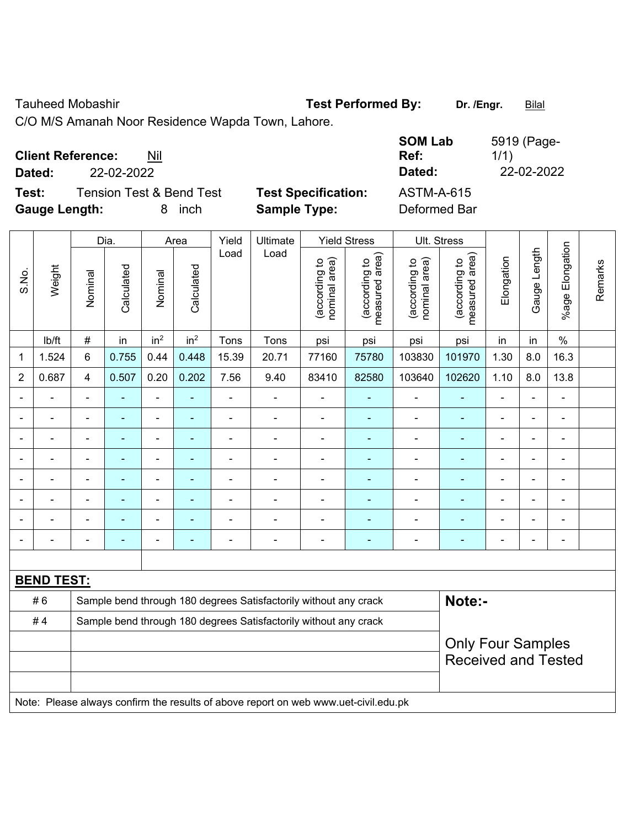Tauheed Mobashir **Test Performed By:** Dr. /Engr. **Bilal** 

C/O M/S Amanah Noor Residence Wapda Town, Lahore.

| <b>Client Reference:</b><br>Nil              |                            | <b>SOM Lab</b><br>Ref: | 5919 (Page-<br>1/1) |
|----------------------------------------------|----------------------------|------------------------|---------------------|
| 22-02-2022<br>Dated:                         |                            | Dated:                 | 22-02-2022          |
| Test:<br><b>Tension Test &amp; Bend Test</b> | <b>Test Specification:</b> | <b>ASTM-A-615</b>      |                     |
| <b>Gauge Length:</b><br>inch                 | <b>Sample Type:</b>        | Deformed Bar           |                     |

|                          |                   |                | Dia.<br>Yield<br><b>Yield Stress</b><br>Ultimate<br>Ult. Stress<br>Area |                              |                          |                |                                                                                     |                                |                                 |                                |                                 |                |                |                       |         |
|--------------------------|-------------------|----------------|-------------------------------------------------------------------------|------------------------------|--------------------------|----------------|-------------------------------------------------------------------------------------|--------------------------------|---------------------------------|--------------------------------|---------------------------------|----------------|----------------|-----------------------|---------|
| S.No.                    | Weight            | Nominal        | Calculated                                                              | Nominal                      | Calculated               | Load           | Load                                                                                | nominal area)<br>(according to | (according to<br>measured area) | nominal area)<br>(according to | (according to<br>measured area) | Elongation     | Gauge Length   | Elongation<br>$%$ age | Remarks |
|                          | lb/ft             | $\#$           | in                                                                      | in <sup>2</sup>              | in <sup>2</sup>          | Tons           | Tons                                                                                | psi                            | psi                             | psi                            | psi                             | in             | in             | $\frac{0}{0}$         |         |
| 1                        | 1.524             | 6              | 0.755                                                                   | 0.44                         | 0.448                    | 15.39          | 20.71                                                                               | 77160                          | 75780                           | 103830                         | 101970                          | 1.30           | 8.0            | 16.3                  |         |
| $\overline{2}$           | 0.687             | 4              | 0.507                                                                   | 0.20                         | 0.202                    | 7.56           | 9.40                                                                                | 83410                          | 82580                           | 103640                         | 102620                          | 1.10           | 8.0            | 13.8                  |         |
| $\blacksquare$           | L.                | $\blacksquare$ | ÷,                                                                      | $\blacksquare$               | $\blacksquare$           | ä,             | $\blacksquare$                                                                      | $\blacksquare$                 | $\blacksquare$                  | $\blacksquare$                 | $\blacksquare$                  | $\blacksquare$ | ä,             | ä,                    |         |
| $\blacksquare$           | $\overline{a}$    | $\blacksquare$ | $\blacksquare$                                                          | $\blacksquare$               | $\blacksquare$           | ä,             | $\blacksquare$                                                                      | $\blacksquare$                 | $\blacksquare$                  | $\overline{\phantom{a}}$       | $\blacksquare$                  | $\blacksquare$ | $\blacksquare$ | $\blacksquare$        |         |
|                          | $\blacksquare$    | $\blacksquare$ | ÷,                                                                      | ÷,                           | $\blacksquare$           | ä,             | $\blacksquare$                                                                      | $\blacksquare$                 | $\blacksquare$                  | ä,                             | $\blacksquare$                  | $\blacksquare$ | $\blacksquare$ | $\blacksquare$        |         |
|                          | $\overline{a}$    | $\blacksquare$ | $\blacksquare$                                                          | $\qquad \qquad \blacksquare$ | $\overline{\phantom{a}}$ | $\blacksquare$ | $\blacksquare$                                                                      | $\blacksquare$                 | $\blacksquare$                  | $\blacksquare$                 | $\blacksquare$                  | $\blacksquare$ | $\blacksquare$ | $\blacksquare$        |         |
|                          |                   |                | $\blacksquare$                                                          | ä,                           |                          |                | ÷                                                                                   | $\blacksquare$                 | L,                              | $\blacksquare$                 | $\blacksquare$                  |                |                | $\blacksquare$        |         |
|                          |                   |                |                                                                         | $\blacksquare$               |                          |                |                                                                                     | $\blacksquare$                 |                                 | $\blacksquare$                 | $\blacksquare$                  |                |                | $\blacksquare$        |         |
|                          | $\blacksquare$    |                |                                                                         | $\blacksquare$               |                          |                | $\blacksquare$                                                                      | $\blacksquare$                 | $\blacksquare$                  | $\blacksquare$                 | $\blacksquare$                  |                |                | $\blacksquare$        |         |
| $\overline{\phantom{a}}$ |                   |                | ۰                                                                       | ÷                            | $\overline{a}$           | $\blacksquare$ | $\blacksquare$                                                                      | $\blacksquare$                 | ÷                               | $\blacksquare$                 | $\overline{\phantom{0}}$        | $\blacksquare$ | $\blacksquare$ | $\blacksquare$        |         |
|                          |                   |                |                                                                         |                              |                          |                |                                                                                     |                                |                                 |                                |                                 |                |                |                       |         |
|                          | <b>BEND TEST:</b> |                |                                                                         |                              |                          |                |                                                                                     |                                |                                 |                                |                                 |                |                |                       |         |
|                          | #6                |                |                                                                         |                              |                          |                | Sample bend through 180 degrees Satisfactorily without any crack                    |                                |                                 |                                | Note:-                          |                |                |                       |         |
|                          | #4                |                | Sample bend through 180 degrees Satisfactorily without any crack        |                              |                          |                |                                                                                     |                                |                                 |                                |                                 |                |                |                       |         |
|                          |                   |                | <b>Only Four Samples</b>                                                |                              |                          |                |                                                                                     |                                |                                 |                                |                                 |                |                |                       |         |
|                          |                   |                |                                                                         |                              |                          |                |                                                                                     |                                |                                 |                                | <b>Received and Tested</b>      |                |                |                       |         |
|                          |                   |                |                                                                         |                              |                          |                |                                                                                     |                                |                                 |                                |                                 |                |                |                       |         |
|                          |                   |                |                                                                         |                              |                          |                | Note: Please always confirm the results of above report on web www.uet-civil.edu.pk |                                |                                 |                                |                                 |                |                |                       |         |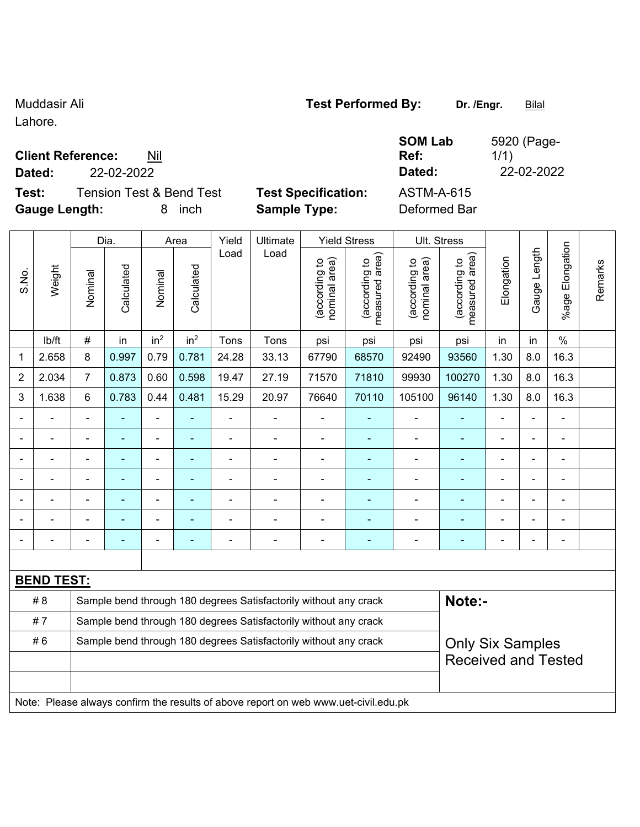Lahore.

 $\overline{\phantom{a}}$ 

### **Client Reference:** Nil

**Dated:** 22-02-2022 **Dated:** 22-02-2022

**Test:** Tension Test & Bend Test **Test Specification:** ASTM-A-615 **Gauge Length:** 8 inch **Sample Type:** Deformed Bar

 $\overline{\phantom{a}}$ 

 $\top$ 

 $\mathbf{\overline{1}}$ 

**SOM Lab Ref:** 

| Weight         | Nominal                                                          | Calculated        |                 |                 | Load           | Load           |                                |                                 |                                                                                                                                      |                                                                                     |                |                |                       |                                                       |
|----------------|------------------------------------------------------------------|-------------------|-----------------|-----------------|----------------|----------------|--------------------------------|---------------------------------|--------------------------------------------------------------------------------------------------------------------------------------|-------------------------------------------------------------------------------------|----------------|----------------|-----------------------|-------------------------------------------------------|
|                |                                                                  |                   | Nominal         | Calculated      |                |                | nominal area)<br>(according to | (according to<br>measured area) | (according to<br>nominal area)                                                                                                       | (according to<br>measured area)                                                     | Elongation     | Gauge Length   | Elongation<br>$%$ age | Remarks                                               |
| lb/ft          | $\#$                                                             | in                | in <sup>2</sup> | in <sup>2</sup> | Tons           | Tons           | psi                            | psi                             | psi                                                                                                                                  | psi                                                                                 | in             | in             | $\%$                  |                                                       |
| 2.658          | 8                                                                | 0.997             | 0.79            | 0.781           | 24.28          | 33.13          | 67790                          | 68570                           | 92490                                                                                                                                | 93560                                                                               | 1.30           | 8.0            | 16.3                  |                                                       |
| 2.034          | $\overline{7}$                                                   | 0.873             | 0.60            | 0.598           | 19.47          | 27.19          | 71570                          | 71810                           | 99930                                                                                                                                | 100270                                                                              | 1.30           | 8.0            | 16.3                  |                                                       |
| 1.638          | 6                                                                | 0.783             | 0.44            | 0.481           | 15.29          | 20.97          | 76640                          | 70110                           | 105100                                                                                                                               | 96140                                                                               | 1.30           | 8.0            | 16.3                  |                                                       |
|                | $\blacksquare$                                                   | ä,                | $\blacksquare$  | ۰               | $\blacksquare$ | $\blacksquare$ |                                |                                 | $\blacksquare$                                                                                                                       | ٠                                                                                   | $\blacksquare$ | $\blacksquare$ | $\blacksquare$        |                                                       |
|                |                                                                  |                   |                 |                 |                |                |                                |                                 |                                                                                                                                      |                                                                                     |                |                |                       |                                                       |
|                | $\blacksquare$                                                   | ÷,                |                 | ۰               |                | $\overline{a}$ | $\blacksquare$                 |                                 | $\overline{\phantom{0}}$                                                                                                             | ۰                                                                                   | $\blacksquare$ | $\blacksquare$ | $\blacksquare$        |                                                       |
| $\blacksquare$ | $\blacksquare$                                                   | ÷,                | $\blacksquare$  | $\blacksquare$  | $\blacksquare$ | $\blacksquare$ | ä,                             | ۰                               | $\blacksquare$                                                                                                                       | ä,                                                                                  | $\blacksquare$ | ÷.             | $\blacksquare$        |                                                       |
|                | ä,                                                               | ÷,                | Ē,              | ä,              | L,             | $\blacksquare$ | $\blacksquare$                 | ۰                               | $\blacksquare$                                                                                                                       | ä,                                                                                  | ä,             | $\blacksquare$ | ä,                    |                                                       |
|                |                                                                  |                   |                 |                 |                |                |                                |                                 |                                                                                                                                      | ۰                                                                                   |                |                |                       |                                                       |
|                |                                                                  |                   |                 |                 |                | Ē,             |                                |                                 |                                                                                                                                      |                                                                                     |                |                | $\blacksquare$        |                                                       |
|                |                                                                  |                   |                 |                 |                |                |                                |                                 |                                                                                                                                      |                                                                                     |                |                |                       |                                                       |
|                |                                                                  |                   |                 |                 |                |                |                                |                                 |                                                                                                                                      |                                                                                     |                |                |                       |                                                       |
|                |                                                                  |                   |                 |                 |                |                |                                |                                 |                                                                                                                                      |                                                                                     |                |                |                       |                                                       |
|                |                                                                  |                   |                 |                 |                |                |                                |                                 |                                                                                                                                      |                                                                                     |                |                |                       |                                                       |
|                | Sample bend through 180 degrees Satisfactorily without any crack |                   |                 |                 |                |                |                                |                                 |                                                                                                                                      |                                                                                     |                |                |                       |                                                       |
|                |                                                                  | <b>BEND TEST:</b> |                 |                 |                |                |                                |                                 | Sample bend through 180 degrees Satisfactorily without any crack<br>Sample bend through 180 degrees Satisfactorily without any crack | Note: Please always confirm the results of above report on web www.uet-civil.edu.pk |                | Note:-         |                       | <b>Only Six Samples</b><br><b>Received and Tested</b> |

# Muddasir Ali **Muddasir Ali Test Performed By:** Dr. /Engr. **Bilal**

1/1)

5920 (Page-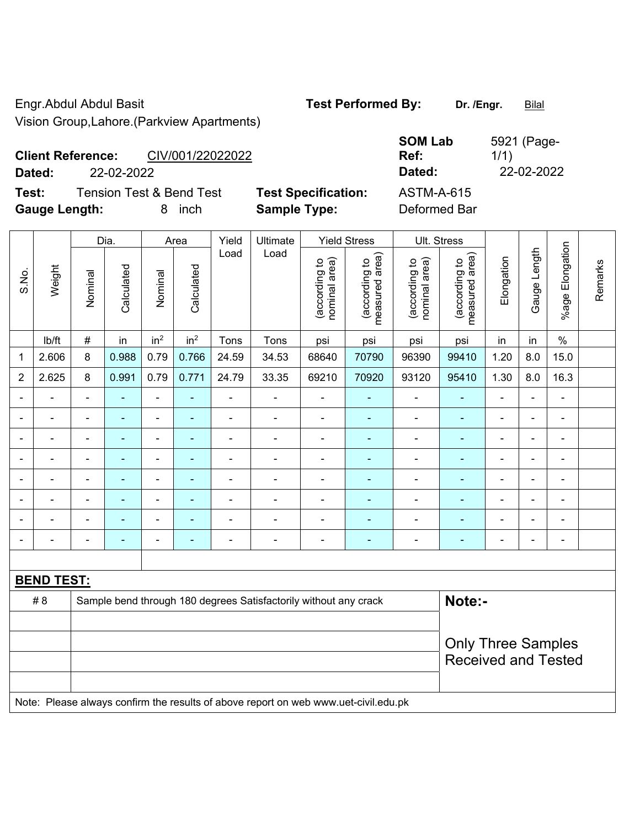Engr.Abdul Abdul Basit **Test Performed By:** Dr. /Engr. **Bilal** Vision Group,Lahore.(Parkview Apartments)

| <b>SOM Lab</b><br>Ref: | 5921 (Page-<br>1/1) |
|------------------------|---------------------|
| Dated:                 | 22-02-2022          |
| <b>ASTM-A-615</b>      |                     |

**Client Reference:** CIV/001/22022022 **Dated:** 22-02-2022 **Dated:** 22-02-2022

**Test:** Tension Test & Bend Test **Test Specification: Gauge Length:** 8 inch **Sample Type:** Deformed Bar

|                              | Weight            |                | Dia.           | Area            |                 | Yield          | Ultimate<br>Load                                                                    |                                | <b>Yield Stress</b>             |                                | Ult. Stress                     |                |                |                                  |  |
|------------------------------|-------------------|----------------|----------------|-----------------|-----------------|----------------|-------------------------------------------------------------------------------------|--------------------------------|---------------------------------|--------------------------------|---------------------------------|----------------|----------------|----------------------------------|--|
| S.No.                        |                   | Nominal        | Calculated     | Nominal         | Calculated      | Load           |                                                                                     | nominal area)<br>(according to | (according to<br>measured area) | (according to<br>nominal area) | (according to<br>measured area) | Elongation     | Gauge Length   | Elongation<br>Remarks<br>$%$ age |  |
|                              | lb/ft             | $\#$           | in             | in <sup>2</sup> | in <sup>2</sup> | Tons           | Tons                                                                                | psi                            | psi                             | psi                            | psi                             | in             | in             | $\%$                             |  |
| 1                            | 2.606             | 8              | 0.988          | 0.79            | 0.766           | 24.59          | 34.53                                                                               | 68640                          | 70790                           | 96390                          | 99410                           | 1.20           | 8.0            | 15.0                             |  |
| $\overline{2}$               | 2.625             | 8              | 0.991          | 0.79            | 0.771           | 24.79          | 33.35                                                                               | 69210                          | 70920                           | 93120                          | 95410                           | 1.30           | 8.0            | 16.3                             |  |
|                              |                   | ä,             |                | $\overline{a}$  | ä,              |                |                                                                                     |                                |                                 |                                |                                 |                |                | $\blacksquare$                   |  |
|                              |                   | $\blacksquare$ | ٠              | $\blacksquare$  | ٠               | $\blacksquare$ | $\blacksquare$                                                                      | $\blacksquare$                 | $\blacksquare$                  | $\blacksquare$                 | $\blacksquare$                  | $\blacksquare$ | $\blacksquare$ | $\blacksquare$                   |  |
| $\qquad \qquad \blacksquare$ |                   | $\blacksquare$ | $\blacksquare$ | $\blacksquare$  | ٠               | $\blacksquare$ | $\blacksquare$                                                                      | $\blacksquare$                 | $\blacksquare$                  | $\blacksquare$                 | $\blacksquare$                  | $\blacksquare$ | $\blacksquare$ | $\blacksquare$                   |  |
| $\blacksquare$               |                   | $\blacksquare$ | ÷,             | $\blacksquare$  | ÷               | $\blacksquare$ | $\blacksquare$                                                                      | $\blacksquare$                 | $\overline{\phantom{a}}$        | $\blacksquare$                 | ÷,                              | $\blacksquare$ | ÷              | $\blacksquare$                   |  |
| $\blacksquare$               | $\blacksquare$    | ä,             | $\blacksquare$ | $\blacksquare$  | ä,              | $\blacksquare$ | ÷,                                                                                  | $\blacksquare$                 | $\blacksquare$                  | $\blacksquare$                 | ä,                              | $\blacksquare$ | ä,             | $\blacksquare$                   |  |
|                              |                   | $\blacksquare$ | $\blacksquare$ | $\blacksquare$  | $\blacksquare$  |                |                                                                                     | $\blacksquare$                 | $\overline{\phantom{a}}$        | ۳                              | ä,                              |                |                | ä,                               |  |
|                              |                   | $\blacksquare$ |                |                 |                 |                |                                                                                     | ٠                              |                                 | -                              | $\blacksquare$                  |                |                | L,                               |  |
| $\qquad \qquad \blacksquare$ |                   |                | ۰              | -               | ÷               | $\overline{a}$ | $\blacksquare$                                                                      | $\overline{\phantom{a}}$       | ۰                               | $\blacksquare$                 | -                               | $\blacksquare$ | ÷              | $\overline{\phantom{a}}$         |  |
|                              |                   |                |                |                 |                 |                |                                                                                     |                                |                                 |                                |                                 |                |                |                                  |  |
|                              | <b>BEND TEST:</b> |                |                |                 |                 |                |                                                                                     |                                |                                 |                                |                                 |                |                |                                  |  |
|                              | # 8               |                |                |                 |                 |                | Sample bend through 180 degrees Satisfactorily without any crack                    |                                |                                 |                                | Note:-                          |                |                |                                  |  |
|                              |                   |                |                |                 |                 |                |                                                                                     |                                |                                 |                                |                                 |                |                |                                  |  |
|                              |                   |                |                |                 |                 |                | <b>Only Three Samples</b>                                                           |                                |                                 |                                |                                 |                |                |                                  |  |
|                              |                   |                |                |                 |                 |                | <b>Received and Tested</b>                                                          |                                |                                 |                                |                                 |                |                |                                  |  |
|                              |                   |                |                |                 |                 |                |                                                                                     |                                |                                 |                                |                                 |                |                |                                  |  |
|                              |                   |                |                |                 |                 |                | Note: Please always confirm the results of above report on web www.uet-civil.edu.pk |                                |                                 |                                |                                 |                |                |                                  |  |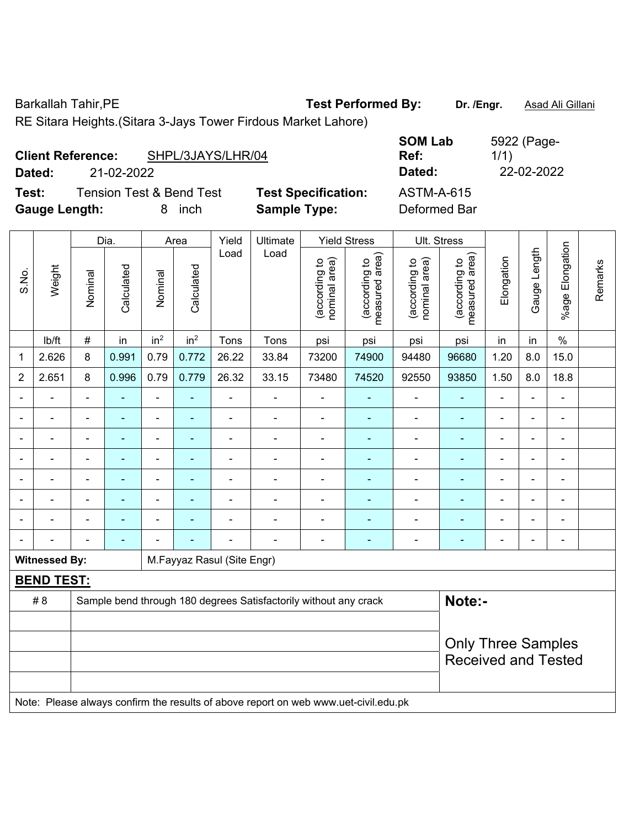Barkallah Tahir, PE **Test Performed By:** Dr. /Engr. **Asad Ali Gillani** 

RE Sitara Heights.(Sitara 3-Jays Tower Firdous Market Lahore)

| <b>Client Reference:</b> |            | SHPL/3JAYS/LHR/04                   |                            | <b>SUMLAD</b><br>Ref: | <b>OSZZ (Faye-</b><br>1/1) |
|--------------------------|------------|-------------------------------------|----------------------------|-----------------------|----------------------------|
| Dated:                   | 21-02-2022 |                                     |                            | Dated:                | 22-02-2022                 |
| Test:                    |            | <b>Tension Test &amp; Bend Test</b> | <b>Test Specification:</b> | <b>ASTM-A-615</b>     |                            |
| <b>Gauge Length:</b>     |            | inch                                | <b>Sample Type:</b>        | Deformed Bar          |                            |

|                          |                      |                | Dia.           |                 | Area                     |                            | Ultimate                                                                            |                                | <b>Yield Stress</b>             | Ult. Stress                    |                                 |                          |                          |                          |         |  |  |
|--------------------------|----------------------|----------------|----------------|-----------------|--------------------------|----------------------------|-------------------------------------------------------------------------------------|--------------------------------|---------------------------------|--------------------------------|---------------------------------|--------------------------|--------------------------|--------------------------|---------|--|--|
| S.No.                    | Weight               | Nominal        | Calculated     | Nominal         | Calculated               | Load                       | Load                                                                                | nominal area)<br>(according to | (according to<br>measured area) | nominal area)<br>(according to | measured area)<br>(according to | Elongation               | Gauge Length             | %age Elongation          | Remarks |  |  |
|                          | lb/ft                | $\#$           | in             | in <sup>2</sup> | in <sup>2</sup>          | Tons                       | Tons                                                                                | psi                            | psi                             | psi                            | psi                             | in                       | in                       | $\%$                     |         |  |  |
| 1                        | 2.626                | 8              | 0.991          | 0.79            | 0.772                    | 26.22                      | 33.84                                                                               | 73200                          | 74900                           | 94480                          | 96680                           | 1.20                     | 8.0                      | 15.0                     |         |  |  |
| $\overline{2}$           | 2.651                | 8              | 0.996          | 0.79            | 0.779                    | 26.32                      | 33.15                                                                               | 73480                          | 74520                           | 92550                          | 93850                           | 1.50                     | 8.0                      | 18.8                     |         |  |  |
| $\blacksquare$           | ÷                    | $\blacksquare$ | ÷              | $\blacksquare$  | $\blacksquare$           | $\blacksquare$             | $\overline{\phantom{a}}$                                                            | $\blacksquare$                 | $\qquad \qquad \blacksquare$    | ۰                              | ÷,                              | $\blacksquare$           | $\blacksquare$           | -                        |         |  |  |
|                          | Ē,                   | $\blacksquare$ | ä,             | $\blacksquare$  | ÷,                       | $\blacksquare$             | ÷.                                                                                  | $\blacksquare$                 | $\blacksquare$                  | ÷,                             | $\blacksquare$                  | $\blacksquare$           | $\blacksquare$           | ä,                       |         |  |  |
| $\overline{\phantom{a}}$ | ä,                   | $\blacksquare$ | $\blacksquare$ | $\blacksquare$  | $\blacksquare$           | $\blacksquare$             | $\frac{1}{2}$                                                                       | $\blacksquare$                 | ٠                               | ÷,                             | ÷,                              | $\overline{\phantom{a}}$ | $\overline{\phantom{a}}$ | $\overline{\phantom{a}}$ |         |  |  |
|                          | $\blacksquare$       | $\blacksquare$ | ÷              | $\blacksquare$  | $\overline{\phantom{0}}$ | $\blacksquare$             | $\blacksquare$                                                                      | $\blacksquare$                 | $\blacksquare$                  | ۰                              | ÷,                              | $\blacksquare$           | $\blacksquare$           |                          |         |  |  |
|                          |                      | $\blacksquare$ | $\overline{a}$ | $\blacksquare$  |                          |                            |                                                                                     | ä,                             | ۰                               | $\blacksquare$                 | $\blacksquare$                  | $\blacksquare$           | $\overline{a}$           | $\blacksquare$           |         |  |  |
|                          |                      |                |                | $\blacksquare$  |                          |                            |                                                                                     | $\blacksquare$                 | ۰                               | $\blacksquare$                 |                                 | $\blacksquare$           | $\blacksquare$           |                          |         |  |  |
|                          |                      |                |                | $\blacksquare$  |                          |                            | $\blacksquare$                                                                      | $\blacksquare$                 | $\blacksquare$                  | $\blacksquare$                 | $\blacksquare$                  | $\blacksquare$           | $\blacksquare$           | $\overline{\phantom{0}}$ |         |  |  |
|                          |                      | $\blacksquare$ | ÷              |                 |                          | $\blacksquare$             | ÷                                                                                   | $\blacksquare$                 | ٠                               | ۰                              | $\blacksquare$                  | $\blacksquare$           | ÷                        | $\blacksquare$           |         |  |  |
|                          | <b>Witnessed By:</b> |                |                |                 |                          | M.Fayyaz Rasul (Site Engr) |                                                                                     |                                |                                 |                                |                                 |                          |                          |                          |         |  |  |
|                          | <b>BEND TEST:</b>    |                |                |                 |                          |                            |                                                                                     |                                |                                 |                                |                                 |                          |                          |                          |         |  |  |
|                          | # 8                  |                |                |                 |                          |                            | Sample bend through 180 degrees Satisfactorily without any crack                    |                                |                                 |                                | Note:-                          |                          |                          |                          |         |  |  |
|                          |                      |                |                |                 |                          |                            |                                                                                     |                                |                                 |                                |                                 |                          |                          |                          |         |  |  |
|                          |                      |                |                |                 |                          |                            | <b>Only Three Samples</b>                                                           |                                |                                 |                                |                                 |                          |                          |                          |         |  |  |
|                          |                      |                |                |                 |                          |                            |                                                                                     |                                |                                 |                                | <b>Received and Tested</b>      |                          |                          |                          |         |  |  |
|                          |                      |                |                |                 |                          |                            |                                                                                     |                                |                                 |                                |                                 |                          |                          |                          |         |  |  |
|                          |                      |                |                |                 |                          |                            | Note: Please always confirm the results of above report on web www.uet-civil.edu.pk |                                |                                 |                                |                                 |                          |                          |                          |         |  |  |

**SOM Lab**  5922 (Page-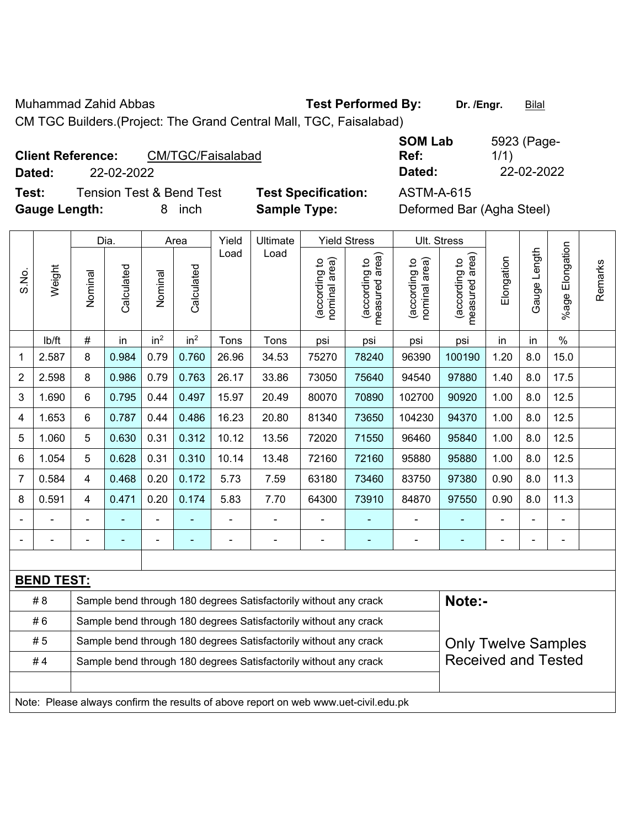Muhammad Zahid Abbas **Test Performed By:** Dr. /Engr. **Bilal** 

CM TGC Builders.(Project: The Grand Central Mall, TGC, Faisalabad)

| <b>Client Reference:</b> |            | CM/TGC/Faisalabad                   |                            | <b>SOM Lab</b><br>Ref:    | 5923 (Page-<br>1/1) |
|--------------------------|------------|-------------------------------------|----------------------------|---------------------------|---------------------|
| Dated:                   | 22-02-2022 |                                     |                            | Dated:                    | 22-02-2022          |
| Test:                    |            | <b>Tension Test &amp; Bend Test</b> | <b>Test Specification:</b> | <b>ASTM-A-615</b>         |                     |
| <b>Gauge Length:</b>     |            | inch                                | <b>Sample Type:</b>        | Deformed Bar (Agha Steel) |                     |

|                |                   |                          | Dia.       |                              | Area            | Yield          | Ultimate                                                                            |                                | <b>Yield Stress</b>             |                                | Ult. Stress                     |            |                   |                       |         |
|----------------|-------------------|--------------------------|------------|------------------------------|-----------------|----------------|-------------------------------------------------------------------------------------|--------------------------------|---------------------------------|--------------------------------|---------------------------------|------------|-------------------|-----------------------|---------|
| S.No.          | Weight            | Nominal                  | Calculated | Nominal                      | Calculated      | Load           | Load                                                                                | nominal area)<br>(according to | (according to<br>measured area) | (according to<br>nominal area) | measured area)<br>(according to | Elongation | Length<br>Gauge I | Elongation<br>$%$ age | Remarks |
|                | lb/ft             | #                        | in         | in <sup>2</sup>              | in <sup>2</sup> | Tons           | Tons                                                                                | psi                            | psi                             | psi                            | psi                             | in         | in                | $\%$                  |         |
| 1              | 2.587             | 8                        | 0.984      | 0.79                         | 0.760           | 26.96          | 34.53                                                                               | 75270                          | 78240                           | 96390                          | 100190                          | 1.20       | 8.0               | 15.0                  |         |
| 2              | 2.598             | 8                        | 0.986      | 0.79                         | 0.763           | 26.17          | 33.86                                                                               | 73050                          | 75640                           | 94540                          | 97880                           | 1.40       | 8.0               | 17.5                  |         |
| 3              | 1.690             | 6                        | 0.795      | 0.44                         | 0.497           | 15.97          | 20.49                                                                               | 80070                          | 70890                           | 102700                         | 90920                           | 1.00       | 8.0               | 12.5                  |         |
| 4              | 1.653             | 6                        | 0.787      | 0.44                         | 0.486           | 16.23          | 20.80                                                                               | 81340                          | 73650                           | 104230                         | 94370                           | 1.00       | 8.0               | 12.5                  |         |
| 5              | 1.060             | 5                        | 0.630      | 0.31                         | 0.312           | 10.12          | 13.56                                                                               | 72020                          | 71550                           | 96460                          | 95840                           | 1.00       | 8.0               | 12.5                  |         |
| 6              | 1.054             | 5                        | 0.628      | 0.31                         | 0.310           | 10.14          | 13.48                                                                               | 72160                          | 72160                           | 95880                          | 95880                           | 1.00       | 8.0               | 12.5                  |         |
| $\overline{7}$ | 0.584             | $\overline{\mathbf{4}}$  | 0.468      | 0.20                         | 0.172           | 5.73           | 7.59                                                                                | 63180                          | 73460                           | 83750                          | 97380                           | 0.90       | 8.0               | 11.3                  |         |
| 8              | 0.591             | $\overline{4}$           | 0.471      | 0.20                         | 0.174           | 5.83           | 7.70                                                                                | 64300                          | 73910                           | 84870                          | 97550                           | 0.90       | 8.0               | 11.3                  |         |
|                |                   |                          |            | ÷                            |                 | $\blacksquare$ |                                                                                     | ÷,                             |                                 | $\blacksquare$                 |                                 |            |                   | $\blacksquare$        |         |
|                |                   | $\overline{\phantom{0}}$ | ÷          | $\qquad \qquad \blacksquare$ | $\overline{a}$  |                | $\overline{\phantom{a}}$                                                            | $\blacksquare$                 | $\blacksquare$                  | $\blacksquare$                 | $\blacksquare$                  | ۰          | ÷                 | $\blacksquare$        |         |
|                |                   |                          |            |                              |                 |                |                                                                                     |                                |                                 |                                |                                 |            |                   |                       |         |
|                | <b>BEND TEST:</b> |                          |            |                              |                 |                |                                                                                     |                                |                                 |                                |                                 |            |                   |                       |         |
|                | # 8               |                          |            |                              |                 |                | Sample bend through 180 degrees Satisfactorily without any crack                    |                                |                                 |                                | Note:-                          |            |                   |                       |         |
|                | #6                |                          |            |                              |                 |                | Sample bend through 180 degrees Satisfactorily without any crack                    |                                |                                 |                                |                                 |            |                   |                       |         |
|                | # 5               |                          |            |                              |                 |                | Sample bend through 180 degrees Satisfactorily without any crack                    |                                |                                 |                                | <b>Only Twelve Samples</b>      |            |                   |                       |         |
|                | #4                |                          |            |                              |                 |                | Sample bend through 180 degrees Satisfactorily without any crack                    |                                |                                 |                                | <b>Received and Tested</b>      |            |                   |                       |         |
|                |                   |                          |            |                              |                 |                |                                                                                     |                                |                                 |                                |                                 |            |                   |                       |         |
|                |                   |                          |            |                              |                 |                | Note: Please always confirm the results of above report on web www.uet-civil.edu.pk |                                |                                 |                                |                                 |            |                   |                       |         |

5923 (Page-